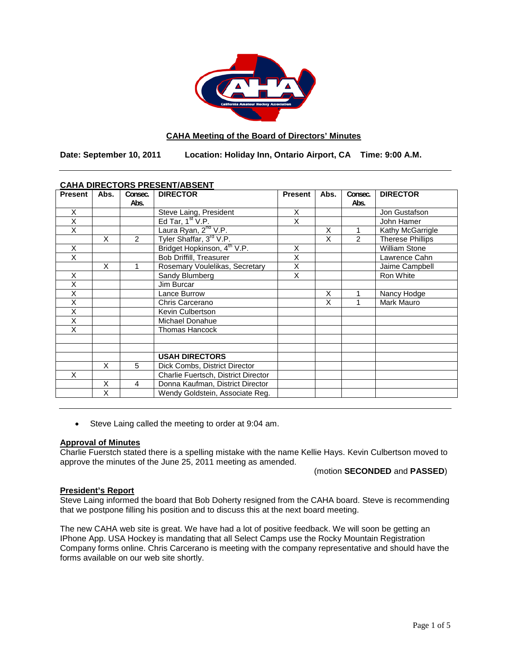

## **CAHA Meeting of the Board of Directors' Minutes**

**Date: September 10, 2011 Location: Holiday Inn, Ontario Airport, CA Time: 9:00 A.M.**

| CAHA DIRECTORS PRESENT/ABSENT |      |                |                                         |                |      |         |                         |
|-------------------------------|------|----------------|-----------------------------------------|----------------|------|---------|-------------------------|
| <b>Present</b>                | Abs. | Consec.        | <b>DIRECTOR</b>                         | <b>Present</b> | Abs. | Consec. | <b>DIRECTOR</b>         |
|                               |      | Abs.           |                                         |                |      | Abs.    |                         |
| X                             |      |                | Steve Laing, President                  | X              |      |         | Jon Gustafson           |
| X                             |      |                | Ed Tar, $1st V.P.$                      | X              |      |         | John Hamer              |
| $\overline{\mathsf{x}}$       |      |                | Laura Ryan, 2 <sup>nd</sup> V.P.        |                | X    |         | Kathy McGarrigle        |
|                               | X    | $\overline{2}$ | Tyler Shaffar, 3rd V.P.                 |                | X    | 2       | <b>Therese Phillips</b> |
| Χ                             |      |                | Bridget Hopkinson, 4 <sup>th</sup> V.P. | X              |      |         | <b>William Stone</b>    |
| X                             |      |                | Bob Driffill, Treasurer                 | X              |      |         | Lawrence Cahn           |
|                               | X    | 1              | Rosemary Voulelikas, Secretary          | X              |      |         | Jaime Campbell          |
| X                             |      |                | Sandy Blumberg                          | X              |      |         | Ron White               |
| X                             |      |                | Jim Burcar                              |                |      |         |                         |
| Χ                             |      |                | Lance Burrow                            |                | X    |         | Nancy Hodge             |
| X                             |      |                | Chris Carcerano                         |                | X    |         | Mark Mauro              |
| X                             |      |                | Kevin Culbertson                        |                |      |         |                         |
| X                             |      |                | Michael Donahue                         |                |      |         |                         |
| X                             |      |                | <b>Thomas Hancock</b>                   |                |      |         |                         |
|                               |      |                |                                         |                |      |         |                         |
|                               |      |                |                                         |                |      |         |                         |
|                               |      |                | <b>USAH DIRECTORS</b>                   |                |      |         |                         |
|                               | X    | 5              | Dick Combs, District Director           |                |      |         |                         |
| X                             |      |                | Charlie Fuertsch, District Director     |                |      |         |                         |
|                               | X    | 4              | Donna Kaufman, District Director        |                |      |         |                         |
|                               | X    |                | Wendy Goldstein, Associate Reg.         |                |      |         |                         |

# **CAHA DIRECTORS PRESENT/ABSENT**

• Steve Laing called the meeting to order at 9:04 am.

## **Approval of Minutes**

Charlie Fuerstch stated there is a spelling mistake with the name Kellie Hays. Kevin Culbertson moved to approve the minutes of the June 25, 2011 meeting as amended.

(motion **SECONDED** and **PASSED**)

## **President's Report**

Steve Laing informed the board that Bob Doherty resigned from the CAHA board. Steve is recommending that we postpone filling his position and to discuss this at the next board meeting.

The new CAHA web site is great. We have had a lot of positive feedback. We will soon be getting an IPhone App. USA Hockey is mandating that all Select Camps use the Rocky Mountain Registration Company forms online. Chris Carcerano is meeting with the company representative and should have the forms available on our web site shortly.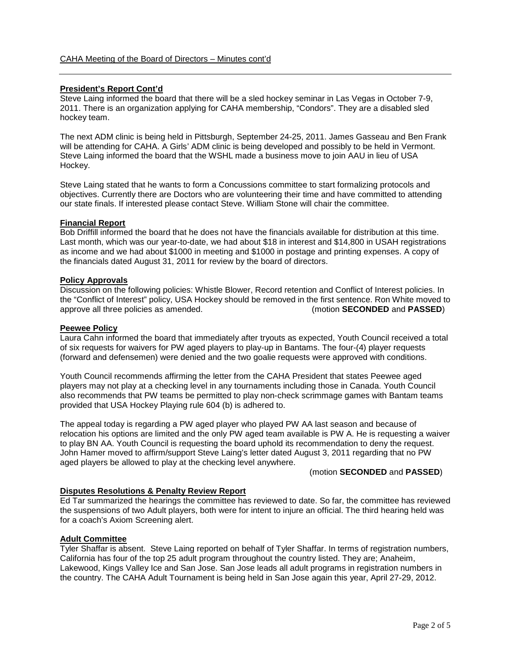## **President's Report Cont'd**

Steve Laing informed the board that there will be a sled hockey seminar in Las Vegas in October 7-9, 2011. There is an organization applying for CAHA membership, "Condors". They are a disabled sled hockey team.

The next ADM clinic is being held in Pittsburgh, September 24-25, 2011. James Gasseau and Ben Frank will be attending for CAHA. A Girls' ADM clinic is being developed and possibly to be held in Vermont. Steve Laing informed the board that the WSHL made a business move to join AAU in lieu of USA Hockey.

Steve Laing stated that he wants to form a Concussions committee to start formalizing protocols and objectives. Currently there are Doctors who are volunteering their time and have committed to attending our state finals. If interested please contact Steve. William Stone will chair the committee.

## **Financial Report**

Bob Driffill informed the board that he does not have the financials available for distribution at this time. Last month, which was our year-to-date, we had about \$18 in interest and \$14,800 in USAH registrations as income and we had about \$1000 in meeting and \$1000 in postage and printing expenses. A copy of the financials dated August 31, 2011 for review by the board of directors.

## **Policy Approvals**

Discussion on the following policies: Whistle Blower, Record retention and Conflict of Interest policies. In the "Conflict of Interest" policy, USA Hockey should be removed in the first sentence. Ron White moved to approve all three policies as amended. (motion **SECONDED** and **PASSED**) approve all three policies as amended.

#### **Peewee Policy**

Laura Cahn informed the board that immediately after tryouts as expected, Youth Council received a total of six requests for waivers for PW aged players to play-up in Bantams. The four-(4) player requests (forward and defensemen) were denied and the two goalie requests were approved with conditions.

Youth Council recommends affirming the letter from the CAHA President that states Peewee aged players may not play at a checking level in any tournaments including those in Canada. Youth Council also recommends that PW teams be permitted to play non-check scrimmage games with Bantam teams provided that USA Hockey Playing rule 604 (b) is adhered to.

The appeal today is regarding a PW aged player who played PW AA last season and because of relocation his options are limited and the only PW aged team available is PW A. He is requesting a waiver to play BN AA. Youth Council is requesting the board uphold its recommendation to deny the request. John Hamer moved to affirm/support Steve Laing's letter dated August 3, 2011 regarding that no PW aged players be allowed to play at the checking level anywhere.

## (motion **SECONDED** and **PASSED**)

## **Disputes Resolutions & Penalty Review Report**

Ed Tar summarized the hearings the committee has reviewed to date. So far, the committee has reviewed the suspensions of two Adult players, both were for intent to injure an official. The third hearing held was for a coach's Axiom Screening alert.

## **Adult Committee**

Tyler Shaffar is absent. Steve Laing reported on behalf of Tyler Shaffar. In terms of registration numbers, California has four of the top 25 adult program throughout the country listed. They are; Anaheim, Lakewood, Kings Valley Ice and San Jose. San Jose leads all adult programs in registration numbers in the country. The CAHA Adult Tournament is being held in San Jose again this year, April 27-29, 2012.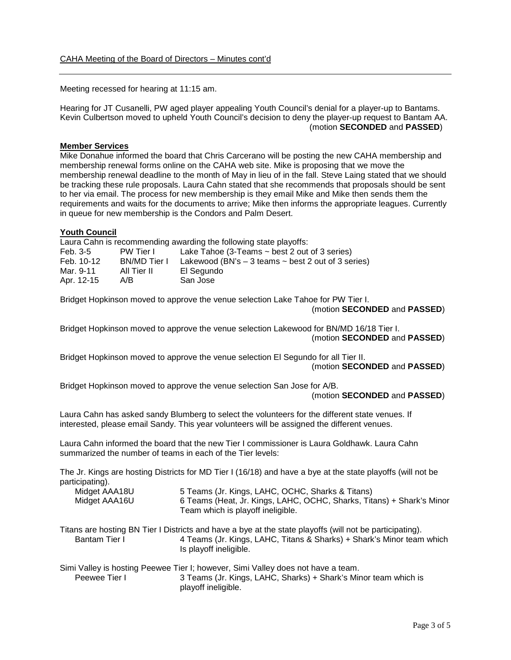Meeting recessed for hearing at 11:15 am.

Hearing for JT Cusanelli, PW aged player appealing Youth Council's denial for a player-up to Bantams. Kevin Culbertson moved to upheld Youth Council's decision to deny the player-up request to Bantam AA. (motion **SECONDED** and **PASSED**)

## **Member Services**

Mike Donahue informed the board that Chris Carcerano will be posting the new CAHA membership and membership renewal forms online on the CAHA web site. Mike is proposing that we move the membership renewal deadline to the month of May in lieu of in the fall. Steve Laing stated that we should be tracking these rule proposals. Laura Cahn stated that she recommends that proposals should be sent to her via email. The process for new membership is they email Mike and Mike then sends them the requirements and waits for the documents to arrive; Mike then informs the appropriate leagues. Currently in queue for new membership is the Condors and Palm Desert.

## **Youth Council**

Laura Cahn is recommending awarding the following state playoffs:<br>Feb. 3-5 PW Tier I Lake Tahoe (3-Teams ~ best 2 out Lake Tahoe (3-Teams  $\sim$  best 2 out of 3 series) Feb. 10-12 BN/MD Tier I Lakewood (BN's – 3 teams ~ best 2 out of 3 series) Mar. 9-11 All Tier II El Segundo<br>Apr. 12-15 A/B San Jose Apr. 12-15

Bridget Hopkinson moved to approve the venue selection Lake Tahoe for PW Tier I.

(motion **SECONDED** and **PASSED**)

Bridget Hopkinson moved to approve the venue selection Lakewood for BN/MD 16/18 Tier I. (motion **SECONDED** and **PASSED**)

Bridget Hopkinson moved to approve the venue selection El Segundo for all Tier II. (motion **SECONDED** and **PASSED**)

Bridget Hopkinson moved to approve the venue selection San Jose for A/B.

#### (motion **SECONDED** and **PASSED**)

Laura Cahn has asked sandy Blumberg to select the volunteers for the different state venues. If interested, please email Sandy. This year volunteers will be assigned the different venues.

Laura Cahn informed the board that the new Tier I commissioner is Laura Goldhawk. Laura Cahn summarized the number of teams in each of the Tier levels:

The Jr. Kings are hosting Districts for MD Tier I (16/18) and have a bye at the state playoffs (will not be participating).

| Midget AAA18U | 5 Teams (Jr. Kings, LAHC, OCHC, Sharks & Titans)                      |
|---------------|-----------------------------------------------------------------------|
| Midget AAA16U | 6 Teams (Heat, Jr. Kings, LAHC, OCHC, Sharks, Titans) + Shark's Minor |
|               | Team which is playoff ineligible.                                     |

Titans are hosting BN Tier I Districts and have a bye at the state playoffs (will not be participating). Bantam Tier I **4 Teams (Jr. Kings, LAHC, Titans & Sharks)** + Shark's Minor team which Is playoff ineligible.

Simi Valley is hosting Peewee Tier I; however, Simi Valley does not have a team. 3 Teams (Jr. Kings, LAHC, Sharks) + Shark's Minor team which is playoff ineligible.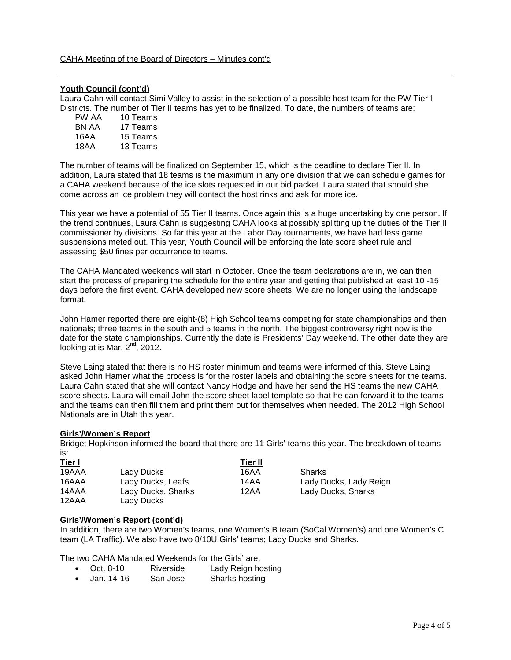## **Youth Council (cont'd)**

Laura Cahn will contact Simi Valley to assist in the selection of a possible host team for the PW Tier I Districts. The number of Tier II teams has yet to be finalized. To date, the numbers of teams are:

| 10 Teams |
|----------|
| 17 Teams |
| 15 Teams |
| 13 Teams |
|          |

The number of teams will be finalized on September 15, which is the deadline to declare Tier II. In addition, Laura stated that 18 teams is the maximum in any one division that we can schedule games for a CAHA weekend because of the ice slots requested in our bid packet. Laura stated that should she come across an ice problem they will contact the host rinks and ask for more ice.

This year we have a potential of 55 Tier II teams. Once again this is a huge undertaking by one person. If the trend continues, Laura Cahn is suggesting CAHA looks at possibly splitting up the duties of the Tier II commissioner by divisions. So far this year at the Labor Day tournaments, we have had less game suspensions meted out. This year, Youth Council will be enforcing the late score sheet rule and assessing \$50 fines per occurrence to teams.

The CAHA Mandated weekends will start in October. Once the team declarations are in, we can then start the process of preparing the schedule for the entire year and getting that published at least 10 -15 days before the first event. CAHA developed new score sheets. We are no longer using the landscape format.

John Hamer reported there are eight-(8) High School teams competing for state championships and then nationals; three teams in the south and 5 teams in the north. The biggest controversy right now is the date for the state championships. Currently the date is Presidents' Day weekend. The other date they are looking at is Mar. 2<sup>nd</sup>, 2012.

Steve Laing stated that there is no HS roster minimum and teams were informed of this. Steve Laing asked John Hamer what the process is for the roster labels and obtaining the score sheets for the teams. Laura Cahn stated that she will contact Nancy Hodge and have her send the HS teams the new CAHA score sheets. Laura will email John the score sheet label template so that he can forward it to the teams and the teams can then fill them and print them out for themselves when needed. The 2012 High School Nationals are in Utah this year.

## **Girls'/Women's Report**

Bridget Hopkinson informed the board that there are 11 Girls' teams this year. The breakdown of teams is:

| <u>Tier I</u> |                    | Tier II |                        |  |
|---------------|--------------------|---------|------------------------|--|
| 19AAA         | Lady Ducks         | 16AA    | Sharks                 |  |
| 16AAA         | Lady Ducks, Leafs  | 14AA    | Lady Ducks, Lady Reign |  |
| 14AAA         | Lady Ducks, Sharks | 12AA    | Lady Ducks, Sharks     |  |
| 12AAA         | Lady Ducks         |         |                        |  |

## **Girls'/Women's Report (cont'd)**

In addition, there are two Women's teams, one Women's B team (SoCal Women's) and one Women's C team (LA Traffic). We also have two 8/10U Girls' teams; Lady Ducks and Sharks.

The two CAHA Mandated Weekends for the Girls' are:

- Oct. 8-10 Riverside Lady Reign hosting
- Jan. 14-16 San Jose Sharks hosting